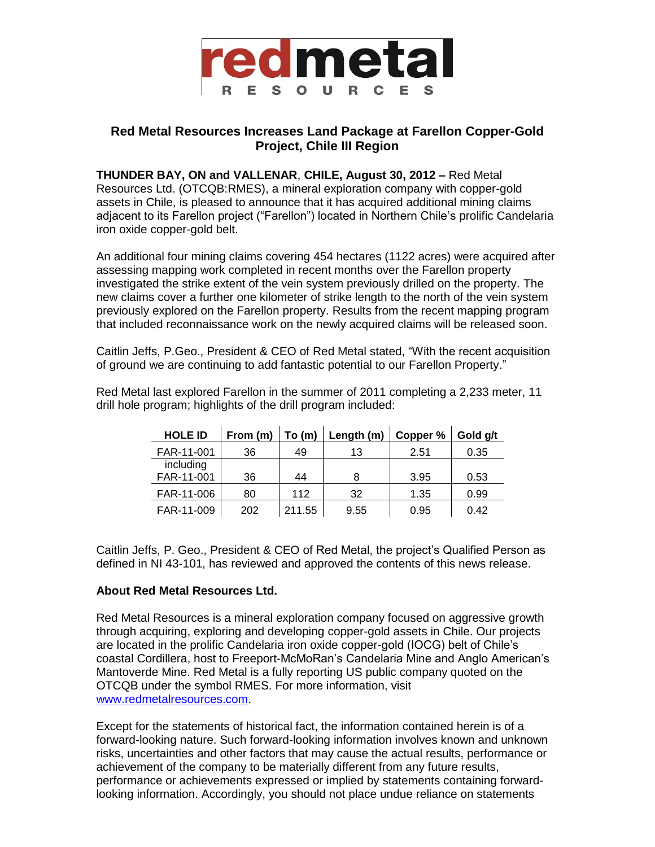

## **Red Metal Resources Increases Land Package at Farellon Copper-Gold Project, Chile III Region**

**THUNDER BAY, ON and VALLENAR**, **CHILE, August 30, 2012 –** Red Metal Resources Ltd. (OTCQB:RMES), a mineral exploration company with copper-gold assets in Chile, is pleased to announce that it has acquired additional mining claims adjacent to its Farellon project ("Farellon") located in Northern Chile's prolific Candelaria iron oxide copper-gold belt.

An additional four mining claims covering 454 hectares (1122 acres) were acquired after assessing mapping work completed in recent months over the Farellon property investigated the strike extent of the vein system previously drilled on the property. The new claims cover a further one kilometer of strike length to the north of the vein system previously explored on the Farellon property. Results from the recent mapping program that included reconnaissance work on the newly acquired claims will be released soon.

Caitlin Jeffs, P.Geo., President & CEO of Red Metal stated, "With the recent acquisition of ground we are continuing to add fantastic potential to our Farellon Property."

Red Metal last explored Farellon in the summer of 2011 completing a 2,233 meter, 11 drill hole program; highlights of the drill program included:

| <b>HOLE ID</b>          | From (m) | To (m) | Length (m) | Copper % | Gold g/t |
|-------------------------|----------|--------|------------|----------|----------|
| FAR-11-001              | 36       | 49     | 13         | 2.51     | 0.35     |
| including<br>FAR-11-001 | 36       | 44     | 8          | 3.95     | 0.53     |
| FAR-11-006              | 80       | 112    | 32         | 1.35     | 0.99     |
| FAR-11-009              | 202      | 211.55 | 9.55       | 0.95     | 0.42     |

Caitlin Jeffs, P. Geo., President & CEO of Red Metal, the project's Qualified Person as defined in NI 43-101, has reviewed and approved the contents of this news release.

## **About Red Metal Resources Ltd.**

Red Metal Resources is a mineral exploration company focused on aggressive growth through acquiring, exploring and developing copper-gold assets in Chile. Our projects are located in the prolific Candelaria iron oxide copper-gold (IOCG) belt of Chile's coastal Cordillera, host to Freeport-McMoRan's Candelaria Mine and Anglo American's Mantoverde Mine. Red Metal is a fully reporting US public company quoted on the OTCQB under the symbol RMES. For more information, visit [www.redmetalresources.com.](http://www.redmetalresources.com/)

Except for the statements of historical fact, the information contained herein is of a forward-looking nature. Such forward-looking information involves known and unknown risks, uncertainties and other factors that may cause the actual results, performance or achievement of the company to be materially different from any future results, performance or achievements expressed or implied by statements containing forwardlooking information. Accordingly, you should not place undue reliance on statements